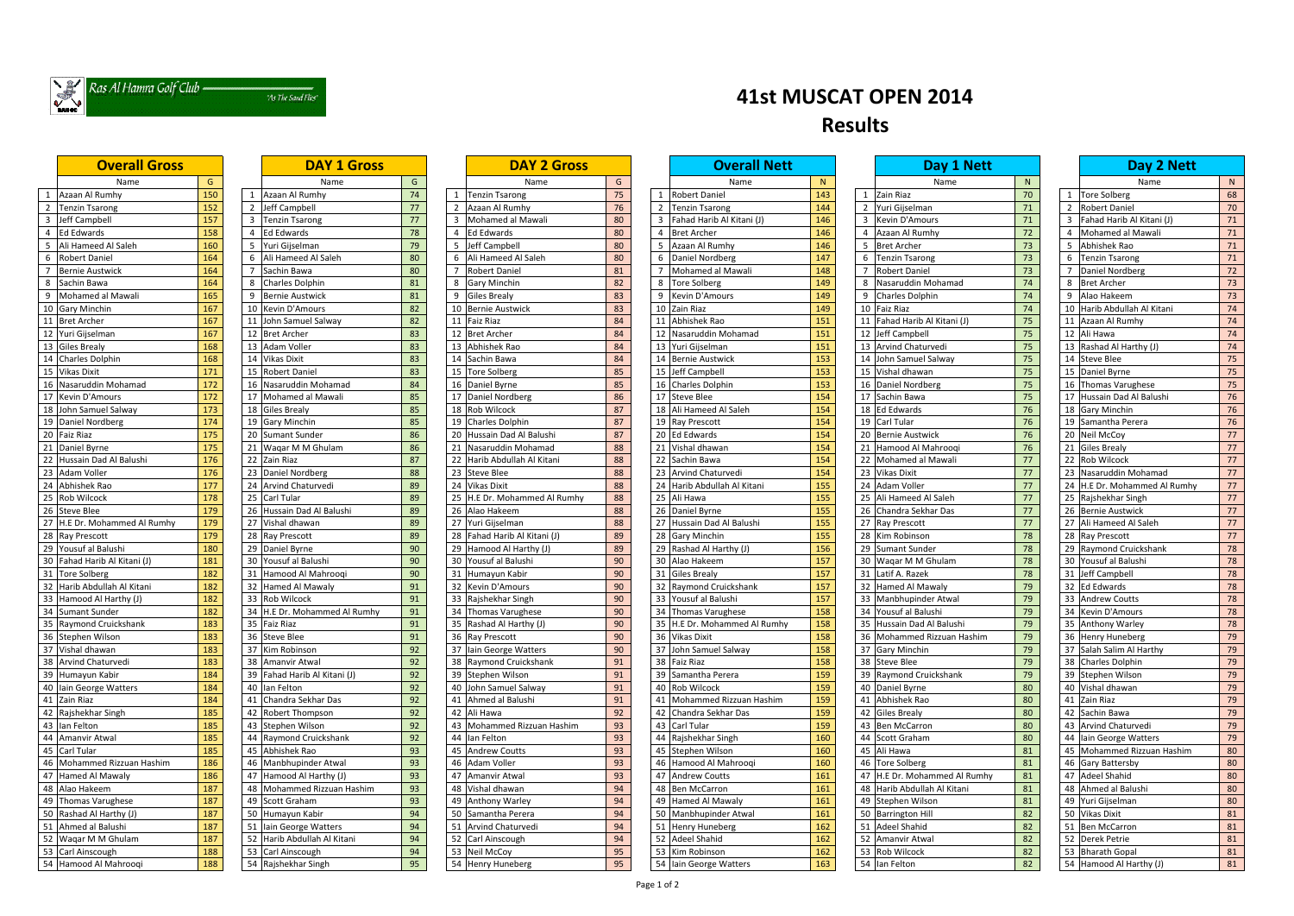

## "As The Sand Flies"

| <b>Overall Gross</b>         |     | <b>DAY 1 Gross</b>               |    |                              |                 | <b>Overall Nett</b>                     |     | Day 1 Nett                              | Day 2 Nett |                              |           |
|------------------------------|-----|----------------------------------|----|------------------------------|-----------------|-----------------------------------------|-----|-----------------------------------------|------------|------------------------------|-----------|
| Name                         | G   | Name                             | G  | Name                         | G               | Name                                    | N   | Name                                    | N          |                              | N<br>Name |
| Azaan Al Rumhy               | 150 | Azaan Al Rumhy<br>$\overline{1}$ | 74 | <b>Tenzin Tsarong</b>        | 75              | Robert Daniel<br>- 1                    | 143 | Zain Riaz<br>1                          | 70         | 1 Tore Solberg               | 68        |
| <b>Tenzin Tsarong</b>        | 152 | $\overline{2}$ Jeff Campbell     | 77 | Azaan Al Rumhy<br>2          | 76              | $\overline{2}$<br><b>Tenzin Tsarong</b> | 144 | 2 Yuri Gijselman                        | 71         | 2 Robert Daniel              | 70        |
| Jeff Campbell                | 157 | 3 Tenzin Tsarong                 | 77 | Mohamed al Mawali            | 80              | Fahad Harib Al Kitani (J)               | 146 | <b>Kevin D'Amours</b><br>$\overline{3}$ | 71         | 3 Fahad Harib Al Kitani (J)  | 71        |
| <b>Ed Edwards</b>            | 158 | 4 Ed Edwards                     | 78 | <b>Ed Edwards</b>            | 80              | <b>Bret Archer</b>                      | 146 | Azaan Al Rumhy                          | 72         | 4 Mohamed al Mawali          | 71        |
| Ali Hameed Al Saleh          | 160 | 5 Yuri Gijselman                 | 79 | Jeff Campbell                | 80              | Azaan Al Rumhy                          | 146 | <b>Bret Archer</b>                      | 73         | Abhishek Rao                 | 71        |
| Robert Daniel                | 164 | Ali Hameed Al Saleh              | 80 | Ali Hameed Al Saleh          | 80              | Daniel Nordberg                         | 147 | <b>Tenzin Tsarong</b>                   | 73         | 6 Tenzin Tsarong             | 71        |
| <b>Bernie Austwick</b>       | 164 | Sachin Bawa                      | 80 | <b>Robert Daniel</b>         | 81              | Mohamed al Mawali                       | 148 | <b>Robert Daniel</b>                    | 73         | 7 Daniel Nordberg            | 72        |
| 8<br>Sachin Bawa             | 164 | <b>Charles Dolphin</b>           | 81 | <b>Gary Minchin</b>          | 82              | <b>Tore Solberg</b>                     | 149 | Nasaruddin Mohamad                      | 74         | 8 Bret Archer                | 73        |
| Mohamed al Mawali<br>9       | 165 | <b>Bernie Austwick</b>           | 81 | <b>Giles Brealy</b><br>9     | 83              | Kevin D'Amours                          | 149 | <b>Charles Dolphin</b><br>-9            | 74         | 9 Alao Hakeem                | 73        |
| <b>Gary Minchin</b><br>10    | 167 | 10 Kevin D'Amours                | 82 | <b>Bernie Austwick</b>       | 83              | Zain Riaz<br>10                         | 149 | 10 Faiz Riaz                            | 74         | 10 Harib Abdullah Al Kitani  | 74        |
| <b>Bret Archer</b><br>11     | 167 | John Samuel Salway               | 82 | <b>Faiz Riaz</b><br>11       | 84              | Abhishek Rao<br>11                      | 151 | 11 Fahad Harib Al Kitani (J)            | 75         | 11 Azaan Al Rumhy            | 74        |
| Yuri Gijselman<br>12         | 167 | 12 Bret Archer                   | 83 | <b>Bret Archer</b><br>12     | 84              | Nasaruddin Mohamad<br>12                | 151 | 12 Jeff Campbell                        | 75         | 12 Ali Hawa                  | 74        |
| 13<br><b>Giles Brealy</b>    | 168 | 13 Adam Voller                   | 83 | Abhishek Rao<br>13           | 84              | 13 Yuri Gijselman                       | 151 | 13 Arvind Chaturvedi                    | 75         | 13 Rashad Al Harthy (J)      | 74        |
| 14 Charles Dolphin           | 168 | 14 Vikas Dixit                   | 83 | 14 Sachin Bawa               | 84              | 14 Bernie Austwick                      | 153 | 14 John Samuel Salway                   | 75         | 14 Steve Blee                | 75        |
| 15 Vikas Dixit               | 171 | 15 Robert Daniel                 | 83 | 15 Tore Solberg              | 85              | 15 Jeff Campbell                        | 153 | 15 Vishal dhawan                        | 75         | 15 Daniel Byrne              | 75        |
| 16 Nasaruddin Mohamad        | 172 | 16 Nasaruddin Mohamad            | 84 | 16 Daniel Byrne              | 85              | 16 Charles Dolphin                      | 153 | 16 Daniel Nordberg                      | 75         | 16 Thomas Varughese          | 75        |
| 17 Kevin D'Amours            | 172 | 17 Mohamed al Mawali             | 85 | 17 Daniel Nordberg           | 86              | 17 Steve Blee                           | 154 | 17 Sachin Bawa                          | 75         | 17 Hussain Dad Al Balushi    | 76        |
| 18 John Samuel Salway        | 173 | 18 Giles Brealy                  | 85 | Rob Wilcock<br>18            | 87              | 18 Ali Hameed Al Saleh                  | 154 | 18 Ed Edwards                           | 76         | 18 Gary Minchin              | 76        |
| 19<br>Daniel Nordberg        | 174 | 19 Gary Minchin                  | 85 | 19 Charles Dolphin           | 87              | 19 Ray Prescott                         | 154 | 19 Carl Tular                           | 76         | 19 Samantha Perera           | 76        |
| 20<br><b>Faiz Riaz</b>       | 175 | 20 Sumant Sunder                 | 86 | 20 Hussain Dad Al Balushi    | 87              | 20 Ed Edwards                           | 154 | 20 Bernie Austwick                      | 76         | 20 Neil McCoy                | 77        |
| 21<br>Daniel Byrne           | 175 | 21 Wagar M M Ghulam              | 86 | Nasaruddin Mohamad<br>21     | 88              | Vishal dhawan<br>21                     | 154 | 21<br>Hamood Al Mahrooqi                | 76         | 21 Giles Brealy              | 77        |
| 22<br>Hussain Dad Al Balushi | 176 | 22 Zain Riaz                     | 87 | 22 Harib Abdullah Al Kitani  | 88              | $\overline{22}$ Sachin Bawa             | 154 | 22 Mohamed al Mawali                    | 77         | 22 Rob Wilcock               | 77        |
| 23 Adam Voller               | 176 | 23 Daniel Nordberg               | 88 | 23 Steve Blee                | 88              | 23 Arvind Chaturvedi                    | 154 | 23 Vikas Dixit                          | 77         | 23 Nasaruddin Mohamad        | 77        |
| 24 Abhishek Rao              | 177 | 24 Arvind Chaturvedi             | 89 | 24 Vikas Dixit               | 88              | Harib Abdullah Al Kitani<br>24          | 155 | 24 Adam Voller                          | 77         | 24 H.E Dr. Mohammed Al Rumhy | 77        |
| 25 Rob Wilcock               | 178 | 25 Carl Tular                    | 89 | 25 H.E Dr. Mohammed Al Rumhy | 88              | 25 Ali Hawa                             | 155 | 25<br>Ali Hameed Al Saleh               | 77         | 25 Rajshekhar Singh          | 77        |
| 26 Steve Blee                | 179 | 26 Hussain Dad Al Balushi        | 89 | 26 Alao Hakeem               | 88              | 26 Daniel Byrne                         | 155 | 26<br>Chandra Sekhar Das                | 77         | 26 Bernie Austwick           | 77        |
| 27 H.E Dr. Mohammed Al Rumhy | 179 | 27 Vishal dhawan                 | 89 | 27 Yuri Gijselman            | 88              | 27 Hussain Dad Al Balushi               | 155 | 27 Ray Prescott                         | 77         | 27 Ali Hameed Al Saleh       | 77        |
| 28 Ray Prescott              | 179 | 28 Ray Prescott                  | 89 | 28 Fahad Harib Al Kitani (J) | 89              | 28 Gary Minchin                         | 155 | 28 Kim Robinson                         | 78         | 28 Ray Prescott              | 77        |
| 29 Yousuf al Balushi         | 180 | 29 Daniel Byrne                  | 90 | 29 Hamood Al Harthy (J)      | 89              | 29 Rashad Al Harthy (J)                 | 156 | 29 Sumant Sunder                        | 78         | 29 Raymond Cruickshank       | 78        |
| 30 Fahad Harib Al Kitani (J) | 181 | 30 Yousuf al Balushi             | 90 | 30 Yousuf al Balushi         | 90              | 30 Alao Hakeem                          | 157 | 30 Waqar M M Ghulam                     | 78         | 30 Yousuf al Balushi         | 78        |
| 31 Tore Solberg              | 182 | 31 Hamood Al Mahrooqi            | 90 | 31 Humayun Kabir             | 90              | 31<br><b>Giles Brealy</b>               | 157 | 31 Latif A. Razek                       | 78         | 31 Jeff Campbell             | 78        |
| 32 Harib Abdullah Al Kitani  | 182 | 32 Hamed Al Mawaly               | 91 | 32 Kevin D'Amours            | 90              | 32 Raymond Cruickshank                  | 157 | $\overline{32}$ Hamed Al Mawaly         | 79         | 32 Ed Edwards                | 78        |
| 33 Hamood Al Harthy (J)      | 182 | 33 Rob Wilcock                   | 91 | 33 Rajshekhar Singh          | 90              | 33 Yousuf al Balushi                    | 157 | 33 Manbhupinder Atwal                   | 79         | 33 Andrew Coutts             | 78        |
| 34 Sumant Sunder             | 182 | 34 H.E Dr. Mohammed Al Rumhy     | 91 | 34 Thomas Varughese          | 90              | 34 Thomas Varughese                     | 158 | 34 Yousuf al Balushi                    | 79         | 34 Kevin D'Amours            | 78        |
| 35 Raymond Cruickshank       | 183 | 35 Faiz Riaz                     | 91 | 35 Rashad Al Harthy (J)      | 90              | 35 H.E Dr. Mohammed Al Rumhy            | 158 | 35 Hussain Dad Al Balushi               | 79         | 35 Anthony Warley            | 78        |
| 36 Stephen Wilson            | 183 | 36<br><b>Steve Blee</b>          | 91 | 36 Ray Prescott              | 90 <sup>°</sup> | 36 Vikas Dixit                          | 158 | 36 Mohammed Rizzuan Hashim              | 79         | 36 Henry Huneberg            | 70        |
| 37 Vishal dhawan             | 183 | 37 Kim Robinson                  | 92 | 37 Iain George Watters       | 90              | 37 John Samuel Salway                   | 158 | 37 Gary Minchin                         | 79         | 37 Salah Salim Al Harthy     | 79        |
| 38 Arvind Chaturvedi         | 183 | 38 Amanvir Atwal                 | 92 | 38 Raymond Cruickshank       | 91              | 38 Faiz Riaz                            | 158 | 38 Steve Blee                           | 79         | 38 Charles Dolphin           | 79        |
| 39 Humayun Kabir             | 184 | 39 Fahad Harib Al Kitani (J)     | 92 | 39 Stephen Wilson            | 91              | 39 Samantha Perera                      | 159 | 39 Raymond Cruickshank                  | 79         | 39 Stephen Wilson            | 79        |
| 40 Iain George Watters       | 184 | 40 Ian Felton                    | 92 | 40 John Samuel Salway        | 91              | 40 Rob Wilcock                          | 159 | 40 Daniel Byrne                         | 80         | 40 Vishal dhawan             | 79        |
| 41 Zain Riaz                 | 184 | 41 Chandra Sekhar Das            | 92 | 41 Ahmed al Balushi          | 91              | 41<br>Mohammed Rizzuan Hashim           | 159 | 41 Abhishek Rao                         | 80         | 41 Zain Riaz                 | 79        |
| 42 Rajshekhar Singh          | 185 | 42 Robert Thompson               | 92 | 42<br>Ali Hawa               | 92              | 42 Chandra Sekhar Das                   | 159 | 42 Giles Brealy                         | 80         | 42 Sachin Bawa               | 79        |
| 43 Ian Felton                | 185 | 43 Stephen Wilson                | 92 | 43 Mohammed Rizzuan Hashim   | 93              | 43 Carl Tular                           | 159 | 43 Ben McCarron                         | 80         | 43 Arvind Chaturvedi         | 79        |
| 44 Amanvir Atwal             | 185 | 44 Raymond Cruickshank           | 92 | 44 Ian Felton                | 93              | 44 Rajshekhar Singh                     | 160 | 44 Scott Graham                         | 80         | 44 Iain George Watters       | 79        |
| 45 Carl Tular                | 185 | 45 Abhishek Rao                  | 93 | 45 Andrew Coutts             | 93              | 45 Stephen Wilson                       | 160 | 45 Ali Hawa                             | 81         | 45 Mohammed Rizzuan Hashim   | 80        |
| 46 Mohammed Rizzuan Hashim   | 186 | 46 Manbhupinder Atwal            | 93 | 46 Adam Voller               | 93              | 46 Hamood Al Mahrooqi                   | 160 | 46 Tore Solberg                         | 81         | 46 Gary Battersby            | 80        |
| 47 Hamed Al Mawaly           | 186 | 47 Hamood Al Harthy (J)          | 93 | 47 Amanvir Atwal             | 93              | 47 Andrew Coutts                        | 161 | 47 H.E Dr. Mohammed Al Rumhy            | 81         | 47 Adeel Shahid              | 80        |
| 48 Alao Hakeem               | 187 | 48 Mohammed Rizzuan Hashim       | 93 | 48 Vishal dhawan             | 94              | 48 Ben McCarron                         | 161 | 48 Harib Abdullah Al Kitani             | 81         | 48 Ahmed al Balushi          | 80        |
| 49 Thomas Varughese          | 187 | 49 Scott Graham                  | 93 | 49 Anthony Warley            | 94              | 49 Hamed Al Mawaly                      | 161 | 49 Stephen Wilson                       | 81         | 49 Yuri Gijselman            | 80        |
| 50 Rashad Al Harthy (J)      | 187 | 50 Humayun Kabir                 | 94 | 50 Samantha Perera           | 94              | 50 Manbhupinder Atwal                   | 161 | 50 Barrington Hill                      | 82         | 50 Vikas Dixit               | 81        |
| 51 Ahmed al Balushi          | 187 | 51 Iain George Watters           | 94 | 51 Arvind Chaturvedi         | 94              | 51 Henry Huneberg                       | 162 | 51 Adeel Shahid                         | 82         | 51 Ben McCarron              | 81        |
| 52 Waqar M M Ghulam          | 187 | 52 Harib Abdullah Al Kitani      | 94 | 52 Carl Ainscough            | 94              | 52 Adeel Shahid                         | 162 | 52 Amanvir Atwal                        | 82         | 52 Derek Petrie              | 81        |
| 53 Carl Ainscough            | 188 | 53 Carl Ainscough                | 94 | 53 Neil McCoy                | 95              | 53 Kim Robinson                         | 162 | 53 Rob Wilcock                          | 82         | 53 Bharath Gopal             | 81        |
| 54 Hamood Al Mahrooqi        | 188 | 54 Rajshekhar Singh              | 95 | 54 Henry Huneberg            | 95              | 54 Iain George Watters                  | 163 | 54 Ian Felton                           | 82         | 54 Hamood Al Harthy (J)      | 81        |

## **41st MUSCAT OPEN 2014 Results**

| <b>DAY 1 Gross</b>                                                                                                                                                        |    |                | <b>DAY 2 Gross</b>                 |                |                | <b>Overall Nett</b>                 |     |    | Day 1 Nett                         |
|---------------------------------------------------------------------------------------------------------------------------------------------------------------------------|----|----------------|------------------------------------|----------------|----------------|-------------------------------------|-----|----|------------------------------------|
| Name                                                                                                                                                                      | G  |                | Name                               | G              |                | Name                                | N   |    | Name                               |
| umhy                                                                                                                                                                      | 74 | $\mathbf{1}$   | <b>Tenzin Tsarong</b>              | 75             | $\mathbf{1}$   | <b>Robert Daniel</b>                | 143 |    | 1 Zain Riaz                        |
| ell                                                                                                                                                                       | 77 | $\overline{2}$ | Azaan Al Rumhy                     | 76             | $\overline{2}$ | <b>Tenzin Tsarong</b>               | 144 |    | 2 Yuri Gijselman                   |
| rong                                                                                                                                                                      | 77 | 3              | Mohamed al Mawali                  | 80             | 3              | Fahad Harib Al Kitani (J)           | 146 |    | 3 Kevin D'Amours                   |
| s                                                                                                                                                                         | 78 | 4              | <b>Ed Edwards</b>                  | 80             | $\overline{4}$ | <b>Bret Archer</b>                  | 146 | 4  | Azaan Al Rumhy                     |
| nan                                                                                                                                                                       | 79 | 5              | <b>Jeff Campbell</b>               | 80             | 5              | Azaan Al Rumhy                      | 146 |    | 5 Bret Archer                      |
| d Al Saleh                                                                                                                                                                | 80 | 6              | Ali Hameed Al Saleh                | 80             | 6              | Daniel Nordberg                     | 147 | 6  | <b>Tenzin Tsarong</b>              |
| $\overline{a}$                                                                                                                                                            | 80 | 7              | <b>Robert Daniel</b>               | 81             | $\overline{7}$ | Mohamed al Mawali                   | 148 |    | 7 Robert Daniel                    |
| Iphin                                                                                                                                                                     | 81 | 8              | <b>Gary Minchin</b>                | 82             | 8              | <b>Tore Solberg</b>                 | 149 |    | 8 Nasaruddin Mohamad               |
| twick                                                                                                                                                                     | 81 | 9              | <b>Giles Brealy</b>                | 83             | 9              | Kevin D'Amours                      | 149 |    | 9 Charles Dolphin                  |
| <b>nours</b>                                                                                                                                                              | 82 |                | 10 Bernie Austwick                 | 83             | 10             | Zain Riaz                           | 149 |    | 10 Faiz Riaz                       |
| el Salway                                                                                                                                                                 | 82 |                | 11 Faiz Riaz                       | 84             | 11             | Abhishek Rao                        | 151 |    | 11 Fahad Harib Al Kitani (J)       |
|                                                                                                                                                                           | 83 |                | 12 Bret Archer                     | 84             | 12             | Nasaruddin Mohamad                  | 151 |    | 12 Jeff Campbell                   |
| er                                                                                                                                                                        | 83 |                | 13 Abhishek Rao                    | 84             | 13             | Yuri Gijselman                      | 151 |    | 13 Arvind Chaturvedi               |
|                                                                                                                                                                           | 83 |                | 14 Sachin Bawa                     | 84             | 14             | <b>Bernie Austwick</b>              | 153 |    | 14 John Samuel Salway              |
| iel                                                                                                                                                                       | 83 |                | 15 Tore Solberg                    | 85             | 15             | Jeff Campbell                       | 153 |    | 15 Vishal dhawan                   |
| n Mohamad                                                                                                                                                                 | 84 |                | 16 Daniel Byrne                    | 85             | 16             | <b>Charles Dolphin</b>              | 153 |    | 16 Daniel Nordberg                 |
| al Mawali                                                                                                                                                                 | 85 | 17             | <b>Daniel Nordberg</b>             | 86             | 17             | <b>Steve Blee</b>                   | 154 |    | 17 Sachin Bawa                     |
| y                                                                                                                                                                         | 85 | 18             | Rob Wilcock                        | 87             | 18             | Ali Hameed Al Saleh                 | 154 |    | 18 Ed Edwards                      |
| าin                                                                                                                                                                       | 85 | 19             | <b>Charles Dolphin</b>             | 87             | 19             | Ray Prescott                        | 154 | 19 | <b>Carl Tular</b>                  |
| nder                                                                                                                                                                      | 86 | 20             | Hussain Dad Al Balushi             | 87             | 20             | <b>Ed Edwards</b>                   | 154 |    | 20 Bernie Austwick                 |
| A Ghulam                                                                                                                                                                  | 86 | 21             | Nasaruddin Mohamad                 | 88             | 21             | Vishal dhawan                       | 154 |    | 21 Hamood Al Mahroogi              |
|                                                                                                                                                                           | 87 | 22             | Harib Abdullah Al Kitani           | 88             | 22             | Sachin Bawa                         | 154 | 22 | Mohamed al Mawali                  |
| dberg                                                                                                                                                                     | 88 |                | 23 Steve Blee                      | 88             | 23             | <b>Arvind Chaturvedi</b>            | 154 |    | 23 Vikas Dixit                     |
| turvedi                                                                                                                                                                   | 89 |                | 24 Vikas Dixit                     | 88             | 24             | Harib Abdullah Al Kitani            | 155 |    | 24 Adam Voller                     |
|                                                                                                                                                                           | 89 |                | 25 H.E Dr. Mohammed Al Rumhy       | 88             | 25             | Ali Hawa                            | 155 |    | 25 Ali Hameed Al Saleh             |
| d Al Balushi                                                                                                                                                              | 89 |                | 26 Alao Hakeem                     | 88             | 26             | Daniel Byrne                        | 155 |    | 26 Chandra Sekhar Das              |
| wan                                                                                                                                                                       | 89 |                | 27 Yuri Gijselman                  | 88             | 27             | Hussain Dad Al Balushi              | 155 |    | 27 Ray Prescott                    |
| tt                                                                                                                                                                        | 89 |                | 28 Fahad Harib Al Kitani (J)       | 89             | 28             | <b>Gary Minchin</b>                 | 155 |    | 28 Kim Robinson                    |
| ٦e                                                                                                                                                                        | 90 |                | 29 Hamood Al Harthy (J)            | 89             | 29             | Rashad Al Harthy (J)                | 156 |    | 29 Sumant Sunder                   |
| alushi                                                                                                                                                                    | 90 | 30             | Yousuf al Balushi                  | 90             | 30             | Alao Hakeem                         | 157 |    | 30 Wagar M M Ghulam                |
| Mahrooqi                                                                                                                                                                  | 90 |                | 31 Humayun Kabir                   | 90             | 31             | <b>Giles Brealy</b>                 | 157 |    | 31 Latif A. Razek                  |
| Mawaly                                                                                                                                                                    | 91 | 32             | Kevin D'Amours                     | 90             | 32             | Raymond Cruickshank                 | 157 |    | 32 Hamed Al Mawaly                 |
| :k                                                                                                                                                                        | 91 |                | 33 Rajshekhar Singh                | 90             | 33             | Yousuf al Balushi                   | 157 |    | 33 Manbhupinder Atwal              |
| hammed Al Rumhy                                                                                                                                                           | 91 |                | 34 Thomas Varughese                | 90             | 34             | Thomas Varughese                    | 158 | 34 | Yousuf al Balushi                  |
|                                                                                                                                                                           | 91 |                | Rashad Al Harthy (J)<br>35         | 90             | 35             | H.E Dr. Mohammed Al Rumhy           | 158 |    | 35 Hussain Dad Al Balushi          |
|                                                                                                                                                                           | 91 |                | 36 Ray Prescott                    | 90             | 36             | <b>Vikas Dixit</b>                  | 158 |    | 36 Mohammed Rizzuan Hashim         |
|                                                                                                                                                                           | 92 |                | 37 Iain George Watters             | 90             |                | 37 John Samuel Salway               | 158 |    | 37 Gary Minchin                    |
| on<br>twal                                                                                                                                                                | 92 |                | 38 Raymond Cruickshank             | 91             | 38             | <b>Faiz Riaz</b>                    | 158 |    | 38 Steve Blee                      |
| b Al Kitani (J)                                                                                                                                                           | 92 |                | 39 Stephen Wilson                  | 91             | 39             | Samantha Perera                     | 159 |    | 39 Raymond Cruickshank             |
|                                                                                                                                                                           | 92 | 40             | John Samuel Salway                 | 91             | 40             | Rob Wilcock                         | 159 |    | 40 Daniel Byrne                    |
| ekhar Das                                                                                                                                                                 | 92 | 41             | Ahmed al Balushi                   | 91             | 41             | Mohammed Rizzuan Hashim             | 159 |    | 41 Abhishek Rao                    |
|                                                                                                                                                                           | 92 | 42             | Ali Hawa                           | 92             | 42             | Chandra Sekhar Das                  | 159 |    |                                    |
| npson<br>'ilson                                                                                                                                                           | 92 |                | 43 Mohammed Rizzuan Hashim         | 93             | 43             | Carl Tular                          | 159 |    | 42 Giles Brealy<br>43 Ben McCarron |
| Cruickshank                                                                                                                                                               | 92 |                | 44 Ian Felton                      | 93             |                | Rajshekhar Singh                    |     |    | 44 Scott Graham                    |
|                                                                                                                                                                           | 93 |                |                                    | 93             | 44             |                                     | 160 |    |                                    |
| :ao                                                                                                                                                                       |    |                | 45 Andrew Coutts                   |                | 45             | Stephen Wilson                      | 160 |    | 45 Ali Hawa                        |
| าder Atwal                                                                                                                                                                | 93 |                | Adam Voller<br>46 I                | 93             | 46             | Hamood Al Mahrooqi                  | 160 |    | 46 Tore Solberg                    |
| Harthy (J)                                                                                                                                                                | 93 | 47             | Amanvir Atwal                      | 93             | 47             | <b>Andrew Coutts</b>                | 161 |    | 47 H.E Dr. Mohammed Al Rumhy       |
| d Rizzuan Hashim                                                                                                                                                          | 93 | 48             | Vishal dhawan                      | 94             | 48             | <b>Ben McCarron</b>                 | 161 |    | 48 Harib Abdullah Al Kitani        |
| am                                                                                                                                                                        | 93 | 49             | Anthony Warley                     | 94             | 49             | Hamed Al Mawaly                     | 161 |    | 49 Stephen Wilson                  |
| <abir< td=""><td>94</td><td></td><td>Samantha Perera<br/>50</td><td>94</td><td>50</td><td>Manbhupinder Atwal</td><td>161</td><td></td><td>50 Barrington Hill</td></abir<> | 94 |                | Samantha Perera<br>50              | 94             | 50             | Manbhupinder Atwal                  | 161 |    | 50 Barrington Hill                 |
| e Watters                                                                                                                                                                 | 94 |                | Arvind Chaturvedi<br>51            | 94             | 51             | <b>Henry Huneberg</b>               | 162 |    | 51 Adeel Shahid                    |
| ıllah Al Kitani                                                                                                                                                           | 94 |                | 52 Carl Ainscough                  | 94             | 52             | <b>Adeel Shahid</b>                 | 162 |    | 52 Amanvir Atwal                   |
| ugh                                                                                                                                                                       | 94 |                | 53 Neil McCoy<br>54 Henry Hungherg | 95             | 53             | Kim Robinson<br>lain George Watters | 162 |    | 53 Rob Wilcock<br>54 Ian Felton    |
| · Sinah                                                                                                                                                                   | Q5 |                |                                    | Q <sub>5</sub> | 54             |                                     |     |    |                                    |

|                | <b>Overall Nett</b>       |
|----------------|---------------------------|
|                | Name                      |
| 1              | <b>Robert Daniel</b>      |
| $\overline{2}$ | <b>Tenzin Tsarong</b>     |
| 3              | Fahad Harib Al Kitani (J) |
| 4              | <b>Bret Archer</b>        |
| 5              | Azaan Al Rumhy            |
| 6              | Daniel Nordberg           |
| 7              | Mohamed al Mawali         |
| 8              | <b>Tore Solberg</b>       |
| 9              | Kevin D'Amours            |
| 10             | Zain Riaz                 |
| 11             | Abhishek Rao              |
| 12             | Nasaruddin Mohamad        |
| 13             | Yuri Gijselman            |
| 14             | <b>Bernie Austwick</b>    |
| 15             | Jeff Campbell             |
| 16             | <b>Charles Dolphin</b>    |
| 17             | <b>Steve Blee</b>         |
| 18             | Ali Hameed Al Saleh       |
| 19             | Ray Prescott              |
| 20             | <b>Ed Edwards</b>         |
| 21             | Vishal dhawan             |
| 22             | Sachin Bawa               |
| 23             | Arvind Chaturvedi         |
| 24             | Harib Abdullah Al Kitani  |
| 25             | Ali Hawa                  |
| 26             | Daniel Byrne              |
| 27             | Hussain Dad Al Balushi    |
| 28             | <b>Gary Minchin</b>       |
| 29             | Rashad Al Harthy (J)      |
| 30             | Alao Hakeem               |
| 31             | <b>Giles Brealy</b>       |
| 32             | Raymond Cruickshank       |
| 33             | Yousuf al Balushi         |
| 34             | Thomas Varughese          |
| 35             | H.E Dr. Mohammed Al Rumhy |
|                | 36 Vikas Dixit            |
| 37             | John Samuel Salway        |
| 38             | <b>Faiz Riaz</b>          |
| 39             | Samantha Perera           |
| 40             | Rob Wilcock               |
| 41             | Mohammed Rizzuan Hashim   |
| 42             | Chandra Sekhar Das        |
| 43             | Carl Tular                |
| 44             | Rajshekhar Singh          |
| 45             | Stephen Wilson            |
| 46             | Hamood Al Mahrooqi        |
| 47             | <b>Andrew Coutts</b>      |
| 48             | <b>Ben McCarron</b>       |
| 49             | Hamed Al Mawaly           |
| 50             | Manbhupinder Atwal        |
| 51             | <b>Henry Huneberg</b>     |
| 52             | Adeel Shahid              |
| 53             | Kim Robinson              |
|                |                           |

|                | Day 1 Nett                |          |  |  |  |  |  |  |
|----------------|---------------------------|----------|--|--|--|--|--|--|
|                | Name                      | N        |  |  |  |  |  |  |
| 1              | Zain Riaz                 | 70       |  |  |  |  |  |  |
| $\overline{c}$ | Yuri Gijselman            | 71       |  |  |  |  |  |  |
| 3              | Kevin D'Amours            |          |  |  |  |  |  |  |
| 4              | Azaan Al Rumhy            | 71<br>72 |  |  |  |  |  |  |
| 5              | <b>Bret Archer</b>        |          |  |  |  |  |  |  |
| 6              | <b>Tenzin Tsarong</b>     | 73<br>73 |  |  |  |  |  |  |
| 7              | <b>Robert Daniel</b>      | 73       |  |  |  |  |  |  |
| 8              | Nasaruddin Mohamad        | 74       |  |  |  |  |  |  |
| 9              | <b>Charles Dolphin</b>    | 74       |  |  |  |  |  |  |
| 10             | <b>Faiz Riaz</b>          | 74       |  |  |  |  |  |  |
| 11             | Fahad Harib Al Kitani (J) | 75       |  |  |  |  |  |  |
| 12             | Jeff Campbell             | 75       |  |  |  |  |  |  |
| 13             | Arvind Chaturvedi         | 75       |  |  |  |  |  |  |
| 14             | John Samuel Salway        | 75       |  |  |  |  |  |  |
| 15             | Vishal dhawan             | 75       |  |  |  |  |  |  |
| 16             | Daniel Nordberg           | 75       |  |  |  |  |  |  |
| 17             | Sachin Bawa               | 75       |  |  |  |  |  |  |
| 18             | <b>Ed Edwards</b>         | 76       |  |  |  |  |  |  |
| 19             | Carl Tular                | 76       |  |  |  |  |  |  |
| 20             | <b>Bernie Austwick</b>    | 76       |  |  |  |  |  |  |
| 21             | Hamood Al Mahrooqi        |          |  |  |  |  |  |  |
| 22             | Mohamed al Mawali         |          |  |  |  |  |  |  |
| 23             | Vikas Dixit               |          |  |  |  |  |  |  |
| 24             | Adam Voller               |          |  |  |  |  |  |  |
| 25             | Ali Hameed Al Saleh       |          |  |  |  |  |  |  |
| 26             | Chandra Sekhar Das        |          |  |  |  |  |  |  |
| 27             | Ray Prescott              |          |  |  |  |  |  |  |
| 28             | Kim Robinson              |          |  |  |  |  |  |  |
| 29             | <b>Sumant Sunder</b>      | 78<br>78 |  |  |  |  |  |  |
| 30             | Waqar M M Ghulam          | 78       |  |  |  |  |  |  |
| 31             | Latif A. Razek            | 78       |  |  |  |  |  |  |
| 32             | Hamed Al Mawaly           | 79       |  |  |  |  |  |  |
| 33             | Manbhupinder Atwal        | 79       |  |  |  |  |  |  |
| 34             | Yousuf al Balushi         | 79       |  |  |  |  |  |  |
| 35             | Hussain Dad Al Balushi    | 79       |  |  |  |  |  |  |
| 36             | Mohammed Rizzuan Hashim   | 79       |  |  |  |  |  |  |
| 37             | Gary Minchin              | 79       |  |  |  |  |  |  |
| 38             | <b>Steve Blee</b>         | 79       |  |  |  |  |  |  |
| 39             | Raymond Cruickshank       | 79       |  |  |  |  |  |  |
| 40             | Daniel Byrne              | 80       |  |  |  |  |  |  |
| 41             | Abhishek Rao              | 80       |  |  |  |  |  |  |
| 42             | <b>Giles Brealy</b>       | 80       |  |  |  |  |  |  |
| 43             | <b>Ben McCarron</b>       | 80       |  |  |  |  |  |  |
| 44             | Scott Graham              | 80       |  |  |  |  |  |  |
| 45             | Ali Hawa                  | 81       |  |  |  |  |  |  |
| 46             | <b>Tore Solberg</b>       | 81       |  |  |  |  |  |  |
| 47             | H.E Dr. Mohammed Al Rumhy | 81       |  |  |  |  |  |  |
| 48             | Harib Abdullah Al Kitani  | 81       |  |  |  |  |  |  |
| 49             | Stephen Wilson            | 81       |  |  |  |  |  |  |
| 50             | <b>Barrington Hill</b>    | 82       |  |  |  |  |  |  |
| 51             | <b>Adeel Shahid</b>       | 82       |  |  |  |  |  |  |
| 52             | Amanvir Atwal             | 82       |  |  |  |  |  |  |
| 53             | Rob Wilcock               | 82       |  |  |  |  |  |  |
| 54             | lan Felton                | 82       |  |  |  |  |  |  |

|    | Day 2 Nett                |    |
|----|---------------------------|----|
|    | Name                      | N  |
| 1  | <b>Tore Solberg</b>       | 68 |
| 2  | <b>Robert Daniel</b>      | 70 |
| 3  | Fahad Harib Al Kitani (J) | 71 |
| 4  | Mohamed al Mawali         | 71 |
| 5  | Abhishek Rao              | 71 |
| 6  | <b>Tenzin Tsarong</b>     | 71 |
| 7  | Daniel Nordberg           | 72 |
| 8  | <b>Bret Archer</b>        | 73 |
| 9  | Alao Hakeem               | 73 |
| 10 | Harib Abdullah Al Kitani  | 74 |
| 11 | Azaan Al Rumhy            | 74 |
| 12 | Ali Hawa                  | 74 |
| 13 | Rashad Al Harthy (J)      | 74 |
| 14 | <b>Steve Blee</b>         | 75 |
| 15 | Daniel Byrne              | 75 |
| 16 | Thomas Varughese          | 75 |
| 17 | Hussain Dad Al Balushi    | 76 |
| 18 | Gary Minchin              | 76 |
| 19 | Samantha Perera           | 76 |
| 20 | Neil McCoy                | 77 |
| 21 | <b>Giles Brealy</b>       | 77 |
| 22 | Rob Wilcock               | 77 |
| 23 | Nasaruddin Mohamad        | 77 |
| 24 | H.E Dr. Mohammed Al Rumhy | 77 |
| 25 | Rajshekhar Singh          | 77 |
| 26 | <b>Bernie Austwick</b>    | 77 |
| 27 | Ali Hameed Al Saleh       | 77 |
| 28 | Ray Prescott              | 77 |
| 29 | Raymond Cruickshank       | 78 |
| 30 | Yousuf al Balushi         | 78 |
| 31 | Jeff Campbell             | 78 |
| 32 | <b>Ed Edwards</b>         | 78 |
| 33 | <b>Andrew Coutts</b>      | 78 |
| 34 | Kevin D'Amours            | 78 |
| 35 | Anthony Warley            | 78 |
| 36 | <b>Henry Huneberg</b>     | 79 |
| 37 | Salah Salim Al Harthy     | 79 |
| 38 | Charles Dolphin           | 79 |
| 39 | Stephen Wilson            | 79 |
| 40 | Vishal dhawan             | 79 |
| 41 | Zain Riaz                 | 79 |
| 42 | Sachin Bawa               | 79 |
| 43 | Arvind Chaturvedi         | 79 |
| 44 | lain George Watters       | 79 |
| 45 | Mohammed Rizzuan Hashim   | 80 |
| 46 | Gary Battersby            | 80 |
| 47 | <b>Adeel Shahid</b>       | 80 |
| 48 | Ahmed al Balushi          | 80 |
| 49 | Yuri Gijselman            | 80 |
| 50 | Vikas Dixit               | 81 |
| 51 | <b>Ben McCarron</b>       | 81 |
| 52 | Derek Petrie              | 81 |
| 53 | <b>Bharath Gopal</b>      | 81 |
| 54 | Hamood Al Harthy (J)      | 81 |